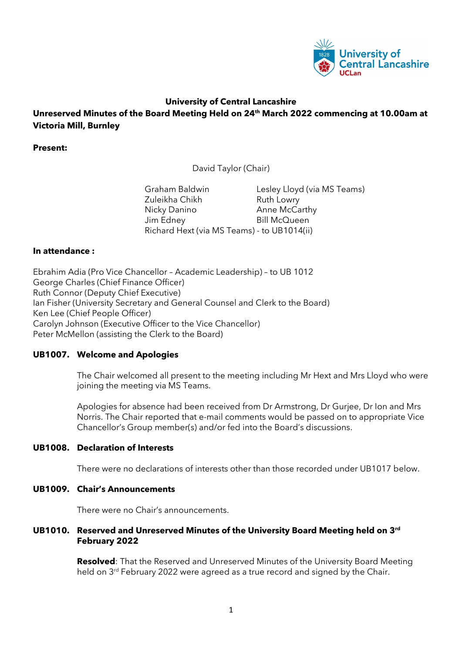

### **University of Central Lancashire**

**Unreserved Minutes of the Board Meeting Held on 24th March 2022 commencing at 10.00am at Victoria Mill, Burnley**

**Present:**

David Taylor (Chair)

Graham Baldwin Lesley Lloyd (via MS Teams) Zuleikha Chikh Ruth Lowry Nicky Danino **Anne McCarthy** Jim Edney Bill McQueen Richard Hext (via MS Teams) - to UB1014(ii)

### **In attendance :**

Ebrahim Adia (Pro Vice Chancellor – Academic Leadership) – to UB 1012 George Charles (Chief Finance Officer) Ruth Connor (Deputy Chief Executive) Ian Fisher (University Secretary and General Counsel and Clerk to the Board) Ken Lee (Chief People Officer) Carolyn Johnson (Executive Officer to the Vice Chancellor) Peter McMellon (assisting the Clerk to the Board)

### **UB1007. Welcome and Apologies**

The Chair welcomed all present to the meeting including Mr Hext and Mrs Lloyd who were joining the meeting via MS Teams.

Apologies for absence had been received from Dr Armstrong, Dr Gurjee, Dr Ion and Mrs Norris. The Chair reported that e-mail comments would be passed on to appropriate Vice Chancellor's Group member(s) and/or fed into the Board's discussions.

### **UB1008. Declaration of Interests**

There were no declarations of interests other than those recorded under UB1017 below.

### **UB1009. Chair's Announcements**

There were no Chair's announcements.

### **UB1010. Reserved and Unreserved Minutes of the University Board Meeting held on 3rd February 2022**

**Resolved**: That the Reserved and Unreserved Minutes of the University Board Meeting held on 3<sup>rd</sup> February 2022 were agreed as a true record and signed by the Chair.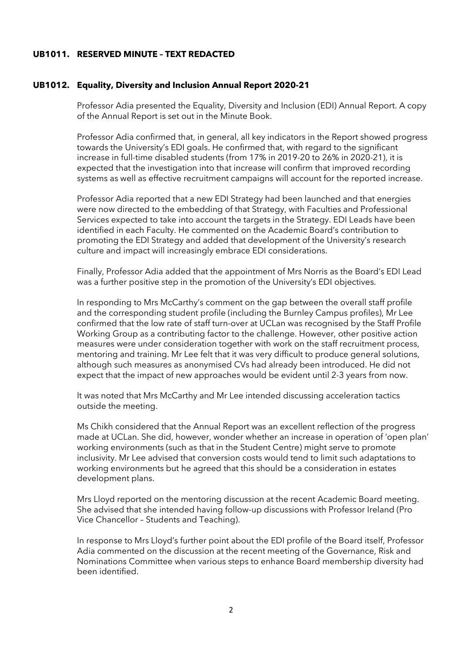### **UB1011. RESERVED MINUTE – TEXT REDACTED**

#### **UB1012. Equality, Diversity and Inclusion Annual Report 2020-21**

Professor Adia presented the Equality, Diversity and Inclusion (EDI) Annual Report. A copy of the Annual Report is set out in the Minute Book.

Professor Adia confirmed that, in general, all key indicators in the Report showed progress towards the University's EDI goals. He confirmed that, with regard to the significant increase in full-time disabled students (from 17% in 2019-20 to 26% in 2020-21), it is expected that the investigation into that increase will confirm that improved recording systems as well as effective recruitment campaigns will account for the reported increase.

Professor Adia reported that a new EDI Strategy had been launched and that energies were now directed to the embedding of that Strategy, with Faculties and Professional Services expected to take into account the targets in the Strategy. EDI Leads have been identified in each Faculty. He commented on the Academic Board's contribution to promoting the EDI Strategy and added that development of the University's research culture and impact will increasingly embrace EDI considerations.

Finally, Professor Adia added that the appointment of Mrs Norris as the Board's EDI Lead was a further positive step in the promotion of the University's EDI objectives.

In responding to Mrs McCarthy's comment on the gap between the overall staff profile and the corresponding student profile (including the Burnley Campus profiles), Mr Lee confirmed that the low rate of staff turn-over at UCLan was recognised by the Staff Profile Working Group as a contributing factor to the challenge. However, other positive action measures were under consideration together with work on the staff recruitment process, mentoring and training. Mr Lee felt that it was very difficult to produce general solutions, although such measures as anonymised CVs had already been introduced. He did not expect that the impact of new approaches would be evident until 2-3 years from now.

It was noted that Mrs McCarthy and Mr Lee intended discussing acceleration tactics outside the meeting.

Ms Chikh considered that the Annual Report was an excellent reflection of the progress made at UCLan. She did, however, wonder whether an increase in operation of 'open plan' working environments (such as that in the Student Centre) might serve to promote inclusivity. Mr Lee advised that conversion costs would tend to limit such adaptations to working environments but he agreed that this should be a consideration in estates development plans.

Mrs Lloyd reported on the mentoring discussion at the recent Academic Board meeting. She advised that she intended having follow-up discussions with Professor Ireland (Pro Vice Chancellor – Students and Teaching).

In response to Mrs Lloyd's further point about the EDI profile of the Board itself, Professor Adia commented on the discussion at the recent meeting of the Governance, Risk and Nominations Committee when various steps to enhance Board membership diversity had been identified.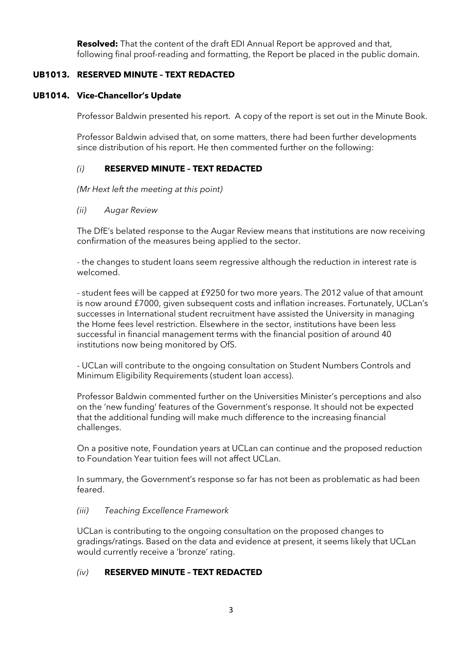**Resolved:** That the content of the draft EDI Annual Report be approved and that, following final proof-reading and formatting, the Report be placed in the public domain.

### **UB1013. RESERVED MINUTE – TEXT REDACTED**

### **UB1014. Vice-Chancellor's Update**

Professor Baldwin presented his report. A copy of the report is set out in the Minute Book.

Professor Baldwin advised that, on some matters, there had been further developments since distribution of his report. He then commented further on the following:

# *(i)* **RESERVED MINUTE – TEXT REDACTED**

*(Mr Hext left the meeting at this point)*

*(ii) Augar Review*

The DfE's belated response to the Augar Review means that institutions are now receiving confirmation of the measures being applied to the sector.

- the changes to student loans seem regressive although the reduction in interest rate is welcomed.

- student fees will be capped at £9250 for two more years. The 2012 value of that amount is now around £7000, given subsequent costs and inflation increases. Fortunately, UCLan's successes in International student recruitment have assisted the University in managing the Home fees level restriction. Elsewhere in the sector, institutions have been less successful in financial management terms with the financial position of around 40 institutions now being monitored by OfS.

- UCLan will contribute to the ongoing consultation on Student Numbers Controls and Minimum Eligibility Requirements (student loan access).

Professor Baldwin commented further on the Universities Minister's perceptions and also on the 'new funding' features of the Government's response. It should not be expected that the additional funding will make much difference to the increasing financial challenges.

On a positive note, Foundation years at UCLan can continue and the proposed reduction to Foundation Year tuition fees will not affect UCLan.

In summary, the Government's response so far has not been as problematic as had been feared.

# *(iii) Teaching Excellence Framework*

UCLan is contributing to the ongoing consultation on the proposed changes to gradings/ratings. Based on the data and evidence at present, it seems likely that UCLan would currently receive a 'bronze' rating.

# *(iv)* **RESERVED MINUTE – TEXT REDACTED**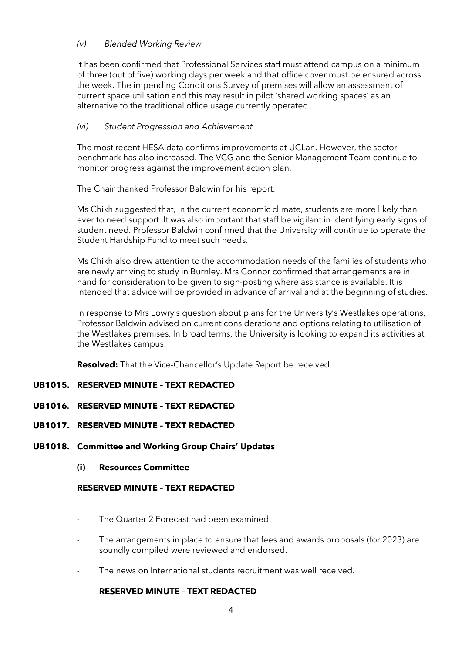### *(v) Blended Working Review*

It has been confirmed that Professional Services staff must attend campus on a minimum of three (out of five) working days per week and that office cover must be ensured across the week. The impending Conditions Survey of premises will allow an assessment of current space utilisation and this may result in pilot 'shared working spaces' as an alternative to the traditional office usage currently operated.

### *(vi) Student Progression and Achievement*

The most recent HESA data confirms improvements at UCLan. However, the sector benchmark has also increased. The VCG and the Senior Management Team continue to monitor progress against the improvement action plan.

The Chair thanked Professor Baldwin for his report.

Ms Chikh suggested that, in the current economic climate, students are more likely than ever to need support. It was also important that staff be vigilant in identifying early signs of student need. Professor Baldwin confirmed that the University will continue to operate the Student Hardship Fund to meet such needs.

Ms Chikh also drew attention to the accommodation needs of the families of students who are newly arriving to study in Burnley. Mrs Connor confirmed that arrangements are in hand for consideration to be given to sign-posting where assistance is available. It is intended that advice will be provided in advance of arrival and at the beginning of studies.

In response to Mrs Lowry's question about plans for the University's Westlakes operations, Professor Baldwin advised on current considerations and options relating to utilisation of the Westlakes premises. In broad terms, the University is looking to expand its activities at the Westlakes campus.

**Resolved:** That the Vice-Chancellor's Update Report be received.

# **UB1015. RESERVED MINUTE – TEXT REDACTED**

### **UB1016. RESERVED MINUTE – TEXT REDACTED**

### **UB1017. RESERVED MINUTE – TEXT REDACTED**

### **UB1018. Committee and Working Group Chairs' Updates**

### **(i) Resources Committee**

### **RESERVED MINUTE – TEXT REDACTED**

- The Quarter 2 Forecast had been examined.
- The arrangements in place to ensure that fees and awards proposals (for 2023) are soundly compiled were reviewed and endorsed.
- The news on International students recruitment was well received.

### - **RESERVED MINUTE – TEXT REDACTED**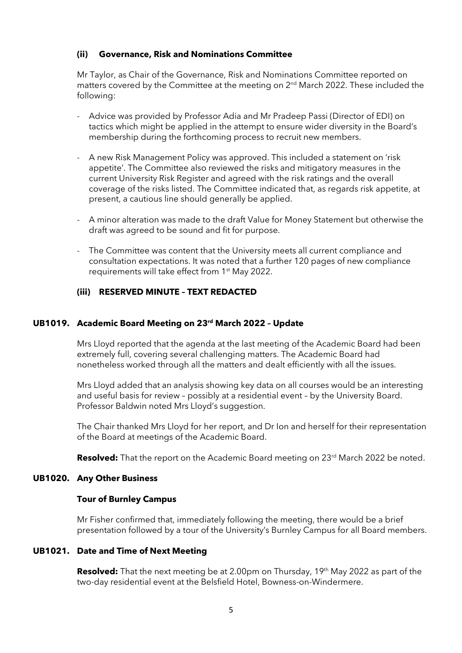### **(ii) Governance, Risk and Nominations Committee**

Mr Taylor, as Chair of the Governance, Risk and Nominations Committee reported on matters covered by the Committee at the meeting on 2<sup>nd</sup> March 2022. These included the following:

- Advice was provided by Professor Adia and Mr Pradeep Passi (Director of EDI) on tactics which might be applied in the attempt to ensure wider diversity in the Board's membership during the forthcoming process to recruit new members.
- A new Risk Management Policy was approved. This included a statement on 'risk appetite'. The Committee also reviewed the risks and mitigatory measures in the current University Risk Register and agreed with the risk ratings and the overall coverage of the risks listed. The Committee indicated that, as regards risk appetite, at present, a cautious line should generally be applied.
- A minor alteration was made to the draft Value for Money Statement but otherwise the draft was agreed to be sound and fit for purpose.
- The Committee was content that the University meets all current compliance and consultation expectations. It was noted that a further 120 pages of new compliance requirements will take effect from 1<sup>st</sup> May 2022.

# **(iii) RESERVED MINUTE – TEXT REDACTED**

### **UB1019. Academic Board Meeting on 23rd March 2022 – Update**

Mrs Lloyd reported that the agenda at the last meeting of the Academic Board had been extremely full, covering several challenging matters. The Academic Board had nonetheless worked through all the matters and dealt efficiently with all the issues.

Mrs Lloyd added that an analysis showing key data on all courses would be an interesting and useful basis for review – possibly at a residential event – by the University Board. Professor Baldwin noted Mrs Lloyd's suggestion.

The Chair thanked Mrs Lloyd for her report, and Dr Ion and herself for their representation of the Board at meetings of the Academic Board.

Resolved: That the report on the Academic Board meeting on 23<sup>rd</sup> March 2022 be noted.

### **UB1020. Any Other Business**

### **Tour of Burnley Campus**

Mr Fisher confirmed that, immediately following the meeting, there would be a brief presentation followed by a tour of the University's Burnley Campus for all Board members.

### **UB1021. Date and Time of Next Meeting**

**Resolved:** That the next meeting be at 2.00pm on Thursday, 19<sup>th</sup> May 2022 as part of the two-day residential event at the Belsfield Hotel, Bowness-on-Windermere.